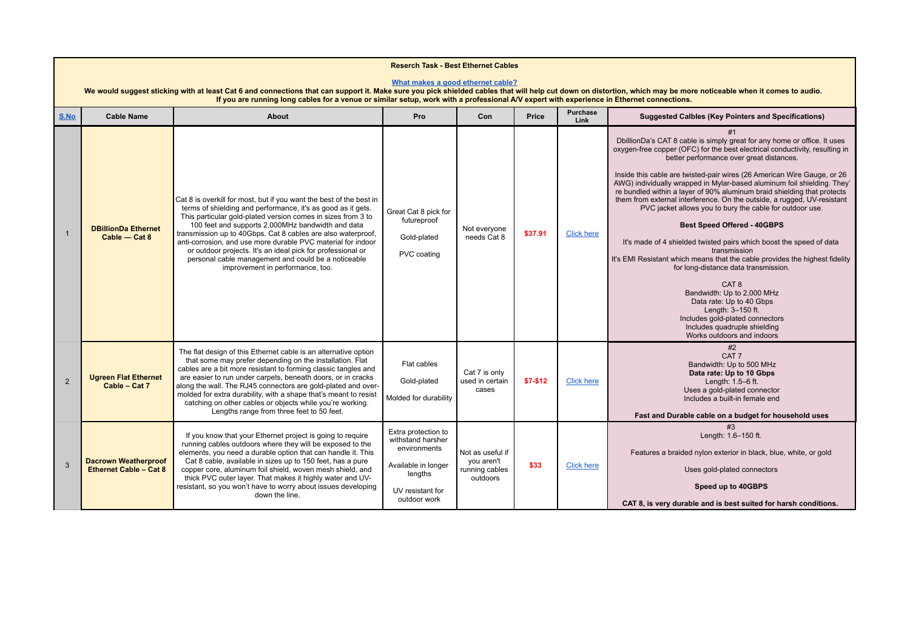| <b>Reserch Task - Best Ethernet Cables</b><br>What makes a good ethernet cable?<br>We would suggest sticking with at least Cat 6 and connections that can support it. Make sure you pick shielded cables that will help cut down on distortion, which may be more noticeable when it comes to audio.<br>If you are running long cables for a venue or similar setup, work with a professional A/V expert with experience in Ethernet connections. |                                                       |                                                                                                                                                                                                                                                                                                                                                                                                                                                                                                                                                    |                                                                                                                                |                                                              |            |                   |                                                                                                                                                                                                                                                                                                                                                                                                                                                                                                                                                                                                                                                                                                                                                                                                                                                                                                                                                                                                                                           |  |  |  |
|---------------------------------------------------------------------------------------------------------------------------------------------------------------------------------------------------------------------------------------------------------------------------------------------------------------------------------------------------------------------------------------------------------------------------------------------------|-------------------------------------------------------|----------------------------------------------------------------------------------------------------------------------------------------------------------------------------------------------------------------------------------------------------------------------------------------------------------------------------------------------------------------------------------------------------------------------------------------------------------------------------------------------------------------------------------------------------|--------------------------------------------------------------------------------------------------------------------------------|--------------------------------------------------------------|------------|-------------------|-------------------------------------------------------------------------------------------------------------------------------------------------------------------------------------------------------------------------------------------------------------------------------------------------------------------------------------------------------------------------------------------------------------------------------------------------------------------------------------------------------------------------------------------------------------------------------------------------------------------------------------------------------------------------------------------------------------------------------------------------------------------------------------------------------------------------------------------------------------------------------------------------------------------------------------------------------------------------------------------------------------------------------------------|--|--|--|
| S.No                                                                                                                                                                                                                                                                                                                                                                                                                                              | <b>Cable Name</b>                                     | About                                                                                                                                                                                                                                                                                                                                                                                                                                                                                                                                              | Pro                                                                                                                            | Con                                                          | Price      | Purchase<br>Link  | <b>Suggested Calbles (Key Pointers and Specifications)</b>                                                                                                                                                                                                                                                                                                                                                                                                                                                                                                                                                                                                                                                                                                                                                                                                                                                                                                                                                                                |  |  |  |
| $\overline{1}$                                                                                                                                                                                                                                                                                                                                                                                                                                    | <b>DBillionDa Ethernet</b><br>Cable - Cat 8           | Cat 8 is overkill for most, but if you want the best of the best in<br>terms of shielding and performance, it's as good as it gets.<br>This particular gold-plated version comes in sizes from 3 to<br>100 feet and supports 2,000MHz bandwidth and data<br>transmission up to 40Gbps. Cat 8 cables are also waterproof,<br>anti-corrosion, and use more durable PVC material for indoor<br>or outdoor projects. It's an ideal pick for professional or<br>personal cable management and could be a noticeable<br>improvement in performance, too. | Great Cat 8 pick for<br>futureproof<br>Gold-plated<br>PVC coating                                                              | Not everyone<br>needs Cat 8                                  | \$37.91    | <b>Click here</b> | #1<br>DbillionDa's CAT 8 cable is simply great for any home or office. It uses<br>oxygen-free copper (OFC) for the best electrical conductivity, resulting in<br>better performance over great distances.<br>Inside this cable are twisted-pair wires (26 American Wire Gauge, or 26<br>AWG) individually wrapped in Mylar-based aluminum foil shielding. They'<br>re bundled within a layer of 90% aluminum braid shielding that protects<br>them from external interference. On the outside, a rugged, UV-resistant<br>PVC jacket allows you to bury the cable for outdoor use.<br><b>Best Speed Offered - 40GBPS</b><br>It's made of 4 shielded twisted pairs which boost the speed of data<br>transmission<br>It's EMI Resistant which means that the cable provides the highest fidelity<br>for long-distance data transmission.<br>CAT <sub>8</sub><br>Bandwidth: Up to 2,000 MHz<br>Data rate: Up to 40 Gbps<br>Length: 3-150 ft.<br>Includes gold-plated connectors<br>Includes quadruple shielding<br>Works outdoors and indoors |  |  |  |
| 2                                                                                                                                                                                                                                                                                                                                                                                                                                                 | <b>Ugreen Flat Ethernet</b><br>Cable - Cat 7          | The flat design of this Ethernet cable is an alternative option<br>that some may prefer depending on the installation. Flat<br>cables are a bit more resistant to forming classic tangles and<br>are easier to run under carpets, beneath doors, or in cracks<br>along the wall. The RJ45 connectors are gold-plated and over-<br>molded for extra durability, with a shape that's meant to resist<br>catching on other cables or objects while you're working.<br>Lengths range from three feet to 50 feet.                                       | Flat cables<br>Gold-plated<br>Molded for durability                                                                            | Cat 7 is only<br>used in certain<br>cases                    | $$7 - $12$ | <b>Click here</b> | #2<br>CAT <sub>7</sub><br>Bandwidth: Up to 500 MHz<br>Data rate: Up to 10 Gbps<br>Length: 1.5-6 ft.<br>Uses a gold-plated connector<br>Includes a built-in female end<br>Fast and Durable cable on a budget for household uses                                                                                                                                                                                                                                                                                                                                                                                                                                                                                                                                                                                                                                                                                                                                                                                                            |  |  |  |
| $\mathbf{3}$                                                                                                                                                                                                                                                                                                                                                                                                                                      | <b>Dacrown Weatherproof</b><br>Ethernet Cable - Cat 8 | If you know that your Ethernet project is going to require<br>running cables outdoors where they will be exposed to the<br>elements, you need a durable option that can handle it. This<br>Cat 8 cable, available in sizes up to 150 feet, has a pure<br>copper core, aluminum foil shield, woven mesh shield, and<br>thick PVC outer layer. That makes it highly water and UV-<br>resistant, so you won't have to worry about issues developing<br>down the line.                                                                                 | Extra protection to<br>withstand harsher<br>environments<br>Available in longer<br>lengths<br>UV resistant for<br>outdoor work | Not as useful if<br>you aren't<br>running cables<br>outdoors | \$33       | <b>Click here</b> | #3<br>Length: 1.6-150 ft.<br>Features a braided nylon exterior in black, blue, white, or gold<br>Uses gold-plated connectors<br>Speed up to 40GBPS<br>CAT 8, is very durable and is best suited for harsh conditions.                                                                                                                                                                                                                                                                                                                                                                                                                                                                                                                                                                                                                                                                                                                                                                                                                     |  |  |  |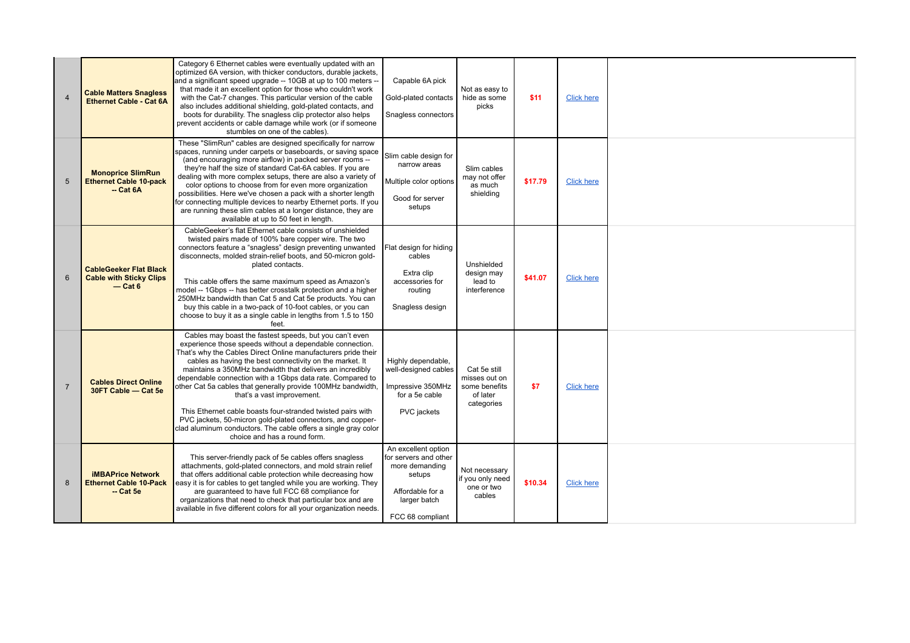| $\overline{4}$ | <b>Cable Matters Snagless</b><br>Ethernet Cable - Cat 6A                     | Category 6 Ethernet cables were eventually updated with an<br>optimized 6A version, with thicker conductors, durable jackets,<br>and a significant speed upgrade -- 10GB at up to 100 meters -<br>that made it an excellent option for those who couldn't work<br>with the Cat-7 changes. This particular version of the cable<br>also includes additional shielding, gold-plated contacts, and<br>boots for durability. The snagless clip protector also helps<br>prevent accidents or cable damage while work (or if someone<br>stumbles on one of the cables).                                                                                                                                      | Capable 6A pick<br>Gold-plated contacts<br>Snagless connectors                                                                   | Not as easy to<br>hide as some<br>picks                                  | \$11    | <b>Click here</b> |  |
|----------------|------------------------------------------------------------------------------|--------------------------------------------------------------------------------------------------------------------------------------------------------------------------------------------------------------------------------------------------------------------------------------------------------------------------------------------------------------------------------------------------------------------------------------------------------------------------------------------------------------------------------------------------------------------------------------------------------------------------------------------------------------------------------------------------------|----------------------------------------------------------------------------------------------------------------------------------|--------------------------------------------------------------------------|---------|-------------------|--|
| 5              | <b>Monoprice SlimRun</b><br><b>Ethernet Cable 10-pack</b><br>$-$ Cat $6A$    | These "SlimRun" cables are designed specifically for narrow<br>spaces, running under carpets or baseboards, or saving space<br>(and encouraging more airflow) in packed server rooms --<br>they're half the size of standard Cat-6A cables. If you are<br>dealing with more complex setups, there are also a variety of<br>color options to choose from for even more organization<br>possibilities. Here we've chosen a pack with a shorter length<br>for connecting multiple devices to nearby Ethernet ports. If you<br>are running these slim cables at a longer distance, they are<br>available at up to 50 feet in length.                                                                       | Slim cable design for<br>narrow areas<br>Multiple color options<br>Good for server<br>setups                                     | Slim cables<br>may not offer<br>as much<br>shielding                     | \$17.79 | <b>Click here</b> |  |
| 6              | <b>CableGeeker Flat Black</b><br><b>Cable with Sticky Clips</b><br>$-$ Cat 6 | CableGeeker's flat Ethernet cable consists of unshielded<br>twisted pairs made of 100% bare copper wire. The two<br>connectors feature a "snagless" design preventing unwanted<br>disconnects, molded strain-relief boots, and 50-micron gold-<br>plated contacts.<br>This cable offers the same maximum speed as Amazon's<br>model -- 1Gbps -- has better crosstalk protection and a higher<br>250MHz bandwidth than Cat 5 and Cat 5e products. You can<br>buy this cable in a two-pack of 10-foot cables, or you can<br>choose to buy it as a single cable in lengths from 1.5 to 150<br>feet.                                                                                                       | Flat design for hiding<br>cables<br>Extra clip<br>accessories for<br>routing<br>Snagless design                                  | Unshielded<br>design may<br>lead to<br>interference                      | \$41.07 | <b>Click here</b> |  |
| $\overline{7}$ | <b>Cables Direct Online</b><br>30FT Cable - Cat 5e                           | Cables may boast the fastest speeds, but you can't even<br>experience those speeds without a dependable connection.<br>That's why the Cables Direct Online manufacturers pride their<br>cables as having the best connectivity on the market. It<br>maintains a 350MHz bandwidth that delivers an incredibly<br>dependable connection with a 1Gbps data rate. Compared to<br>other Cat 5a cables that generally provide 100MHz bandwidth,<br>that's a vast improvement.<br>This Ethernet cable boasts four-stranded twisted pairs with<br>PVC jackets, 50-micron gold-plated connectors, and copper-<br>clad aluminum conductors. The cable offers a single gray color<br>choice and has a round form. | Highly dependable,<br>well-designed cables<br>Impressive 350MHz<br>for a 5e cable<br>PVC jackets                                 | Cat 5e still<br>misses out on<br>some benefits<br>of later<br>categories | \$7     | <b>Click here</b> |  |
| 8              | <b>iMBAPrice Network</b><br><b>Ethernet Cable 10-Pack</b><br>$-$ Cat 5e      | This server-friendly pack of 5e cables offers snagless<br>attachments, gold-plated connectors, and mold strain relief<br>that offers additional cable protection while decreasing how<br>easy it is for cables to get tangled while you are working. They<br>are quaranteed to have full FCC 68 compliance for<br>organizations that need to check that particular box and are<br>available in five different colors for all your organization needs.                                                                                                                                                                                                                                                  | An excellent option<br>for servers and other<br>more demanding<br>setups<br>Affordable for a<br>larger batch<br>FCC 68 compliant | Not necessary<br>if you only need<br>one or two<br>cables                | \$10.34 | <b>Click here</b> |  |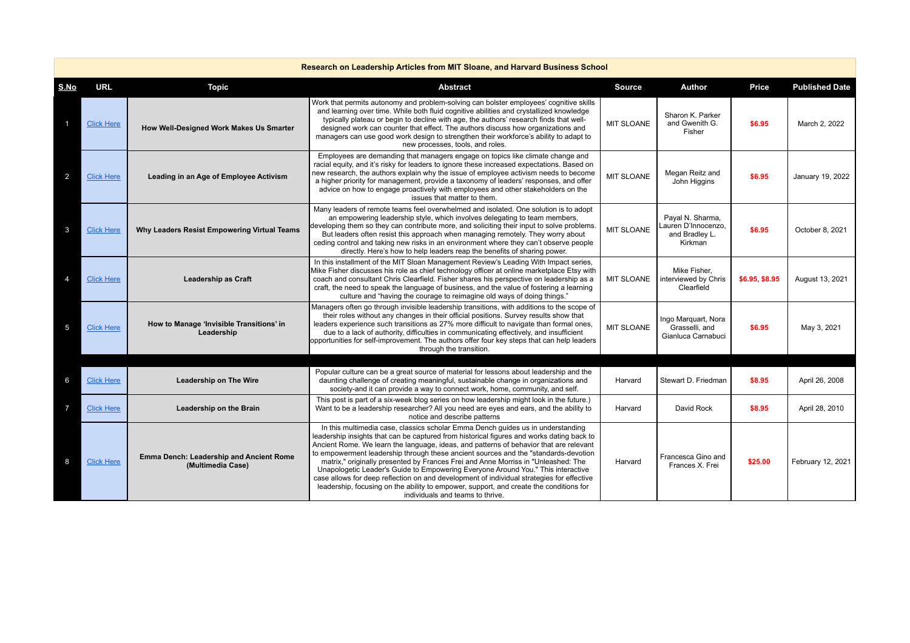| Research on Leadership Articles from MIT Sloane, and Harvard Business School |                   |                                                              |                                                                                                                                                                                                                                                                                                                                                                                                                                                                                                                                                                                                                                                                                                                                                                    |                   |                                                                      |                |                       |  |
|------------------------------------------------------------------------------|-------------------|--------------------------------------------------------------|--------------------------------------------------------------------------------------------------------------------------------------------------------------------------------------------------------------------------------------------------------------------------------------------------------------------------------------------------------------------------------------------------------------------------------------------------------------------------------------------------------------------------------------------------------------------------------------------------------------------------------------------------------------------------------------------------------------------------------------------------------------------|-------------------|----------------------------------------------------------------------|----------------|-----------------------|--|
| S.No                                                                         | <b>URL</b>        | <b>Topic</b>                                                 | <b>Abstract</b>                                                                                                                                                                                                                                                                                                                                                                                                                                                                                                                                                                                                                                                                                                                                                    | <b>Source</b>     | Author                                                               | Price          | <b>Published Date</b> |  |
|                                                                              | <b>Click Here</b> | How Well-Designed Work Makes Us Smarter                      | Work that permits autonomy and problem-solving can bolster employees' cognitive skills<br>and learning over time. While both fluid cognitive abilities and crystallized knowledge<br>typically plateau or begin to decline with age, the authors' research finds that well-<br>designed work can counter that effect. The authors discuss how organizations and<br>managers can use good work design to strengthen their workforce's ability to adapt to<br>new processes, tools, and roles.                                                                                                                                                                                                                                                                       | <b>MIT SLOANE</b> | Sharon K. Parker<br>and Gwenith G.<br>Fisher                         | \$6.95         | March 2, 2022         |  |
| 2                                                                            | <b>Click Here</b> | Leading in an Age of Employee Activism                       | Employees are demanding that managers engage on topics like climate change and<br>racial equity, and it's risky for leaders to ignore these increased expectations. Based on<br>new research, the authors explain why the issue of employee activism needs to become<br>a higher priority for management, provide a taxonomy of leaders' responses, and offer<br>advice on how to engage proactively with employees and other stakeholders on the<br>issues that matter to them.                                                                                                                                                                                                                                                                                   | <b>MIT SLOANE</b> | Megan Reitz and<br>John Higgins                                      | \$6.95         | January 19, 2022      |  |
| 3                                                                            | <b>Click Here</b> | Why Leaders Resist Empowering Virtual Teams                  | Many leaders of remote teams feel overwhelmed and isolated. One solution is to adopt<br>an empowering leadership style, which involves delegating to team members,<br>developing them so they can contribute more, and soliciting their input to solve problems.<br>But leaders often resist this approach when managing remotely. They worry about<br>ceding control and taking new risks in an environment where they can't observe people<br>directly. Here's how to help leaders reap the benefits of sharing power.                                                                                                                                                                                                                                           | <b>MIT SLOANE</b> | Paval N. Sharma.<br>Lauren D'Innocenzo,<br>and Bradley L.<br>Kirkman | \$6.95         | October 8, 2021       |  |
| $\overline{4}$                                                               | <b>Click Here</b> | <b>Leadership as Craft</b>                                   | In this installment of the MIT Sloan Management Review's Leading With Impact series,<br>Mike Fisher discusses his role as chief technology officer at online marketplace Etsy with<br>coach and consultant Chris Clearfield. Fisher shares his perspective on leadership as a<br>craft, the need to speak the language of business, and the value of fostering a learning<br>culture and "having the courage to reimagine old ways of doing things."                                                                                                                                                                                                                                                                                                               | <b>MIT SLOANE</b> | Mike Fisher,<br>interviewed by Chris<br>Clearfield                   | \$6.95, \$8.95 | August 13, 2021       |  |
| 5                                                                            | <b>Click Here</b> | How to Manage 'Invisible Transitions' in<br>Leadership       | Managers often go through invisible leadership transitions, with additions to the scope of<br>their roles without any changes in their official positions. Survey results show that<br>leaders experience such transitions as 27% more difficult to navigate than formal ones.<br>due to a lack of authority, difficulties in communicating effectively, and insufficient<br>opportunities for self-improvement. The authors offer four key steps that can help leaders<br>through the transition.                                                                                                                                                                                                                                                                 | <b>MIT SLOANE</b> | Ingo Marquart, Nora<br>Grasselli, and<br>Gianluca Carnabuci          | \$6.95         | May 3, 2021           |  |
|                                                                              |                   |                                                              | Popular culture can be a great source of material for lessons about leadership and the                                                                                                                                                                                                                                                                                                                                                                                                                                                                                                                                                                                                                                                                             |                   |                                                                      |                |                       |  |
| 6                                                                            | <b>Click Here</b> | <b>Leadership on The Wire</b>                                | daunting challenge of creating meaningful, sustainable change in organizations and<br>society-and it can provide a way to connect work, home, community, and self.                                                                                                                                                                                                                                                                                                                                                                                                                                                                                                                                                                                                 | Harvard           | Stewart D. Friedman                                                  | \$8.95         | April 26, 2008        |  |
| $\overline{7}$                                                               | <b>Click Here</b> | Leadership on the Brain                                      | This post is part of a six-week blog series on how leadership might look in the future.)<br>Want to be a leadership researcher? All you need are eyes and ears, and the ability to<br>notice and describe patterns                                                                                                                                                                                                                                                                                                                                                                                                                                                                                                                                                 | Harvard           | David Rock                                                           | \$8.95         | April 28, 2010        |  |
| 8                                                                            | <b>Click Here</b> | Emma Dench: Leadership and Ancient Rome<br>(Multimedia Case) | In this multimedia case, classics scholar Emma Dench guides us in understanding<br>leadership insights that can be captured from historical figures and works dating back to<br>Ancient Rome. We learn the language, ideas, and patterns of behavior that are relevant<br>to empowerment leadership through these ancient sources and the "standards-devotion"<br>matrix," originally presented by Frances Frei and Anne Morriss in "Unleashed: The<br>Unapologetic Leader's Guide to Empowering Everyone Around You." This interactive<br>case allows for deep reflection on and development of individual strategies for effective<br>leadership, focusing on the ability to empower, support, and create the conditions for<br>individuals and teams to thrive. | Harvard           | Francesca Gino and<br>Frances X. Frei                                | \$25.00        | February 12, 2021     |  |